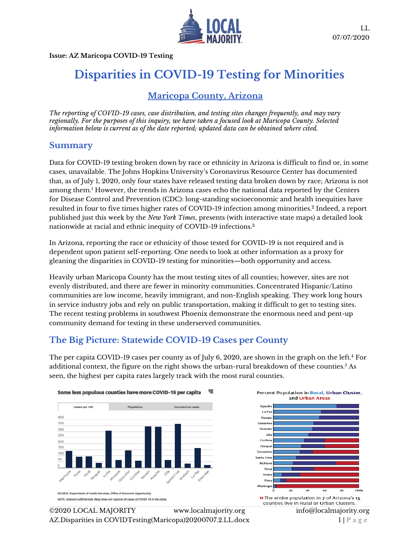

**Issue: AZ Maricopa COVID-19 Testing**

# **Disparities in COVID-19 Testing for Minorities**

# **Maricopa County, Arizona**

*The reporting of COVID-19 cases, case distribution, and testing sites changes frequently, and may vary regionally. For the purposes of this inquiry, we have taken a focused look at Maricopa County. Selected information below is current as of the date reported; updated data can be obtained where cited.*

#### **Summary**

Data for COVID-19 testing broken down by race or ethnicity in Arizona is difficult to find or, in some cases, unavailable. The Johns Hopkins University's Coronavirus Resource Center has documented that, as of July 1, 2020, only four states have released testing data broken down by race; Arizona is not among them.<sup>1</sup> However, the trends in Arizona cases echo the national data reported by the Centers for Disease Control and Prevention (CDC): long-standing socioeconomic and health inequities have resulted in four to five times higher rates of COVID-19 infection among minorities. $^2$  Indeed, a report published just this week by the *New York Times*, presents (with interactive state maps) a detailed look nationwide at racial and ethnic inequity of COVID-19 infections.<sup>3</sup>

In Arizona, reporting the race or ethnicity of those tested for COVID-19 is not required and is dependent upon patient self-reporting. One needs to look at other information as a proxy for gleaning the disparities in COVID-19 testing for minorities—both opportunity and access.

Heavily urban Maricopa County has the most testing sites of all counties; however, sites are not evenly distributed, and there are fewer in minority communities. Concentrated Hispanic/Latino communities are low income, heavily immigrant, and non-English speaking. They work long hours in service industry jobs and rely on public transportation, making it difficult to get to testing sites. The recent testing problems in southwest Phoenix demonstrate the enormous need and pent-up community demand for testing in these underserved communities.

### **The Big Picture: Statewide COVID-19 Cases per County**

The per capita COVID-19 cases per county as of July 6, 2020, are shown in the graph on the left.<sup>4</sup> For additional context, the figure on the right shows the urban-rural breakdown of these counties.<sup>5</sup> As seen, the highest per capita rates largely track with the most rural counties.





©2020 LOCAL MAJORITY [www.localmajority.org](http://www.localmajority.org/) [info@localmajority.org](mailto:info@localmajority.org) AZ. Disparities in COVIDTesting (Maricopa) 20200707. 2. LL. docx 1 | P a g e

counties live in Rural or Urban Clusters.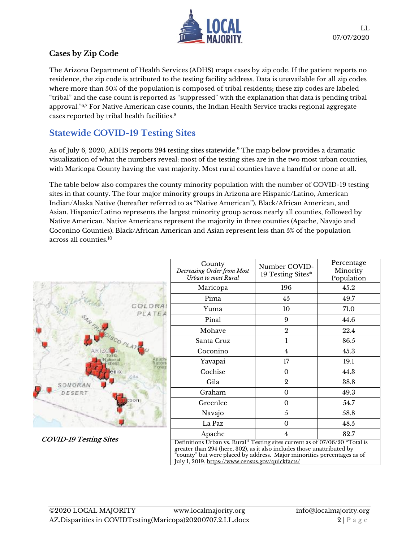

#### **Cases by Zip Code**

The Arizona Department of Health Services (ADHS) maps cases by zip code. If the patient reports no residence, the zip code is attributed to the testing facility address. Data is unavailable for all zip codes where more than 50% of the population is composed of tribal residents; these zip codes are labeled "tribal" and the case count is reported as "suppressed" with the explanation that data is pending tribal approval."6,7 For Native American case counts, the Indian Health Service tracks regional aggregate cases reported by tribal health facilities.<sup>8</sup>

# **Statewide COVID-19 Testing Sites**

As of July 6, 2020, ADHS reports 294 testing sites statewide. <sup>9</sup> The map below provides a dramatic visualization of what the numbers reveal: most of the testing sites are in the two most urban counties, with Maricopa County having the vast majority. Most rural counties have a handful or none at all.

The table below also compares the county minority population with the number of COVID-19 testing sites in that county. The four major minority groups in Arizona are Hispanic/Latino, American Indian/Alaska Native (hereafter referred to as "Native American"), Black/African American, and Asian. Hispanic/Latino represents the largest minority group across nearly all counties, followed by Native American. Native Americans represent the majority in three counties (Apache, Navajo and Coconino Counties). Black/African American and Asian represent less than 5% of the population across all counties.<sup>10</sup>



**COVID-19 Testing Sites**

|                      | County<br>Decreasing Order from Most<br>Urban to most Rural                                                                                                         | Number COVID-<br>19 Testing Sites* | Percentage<br>Minority<br>Population |
|----------------------|---------------------------------------------------------------------------------------------------------------------------------------------------------------------|------------------------------------|--------------------------------------|
|                      | Maricopa                                                                                                                                                            | 196                                | 45.2                                 |
|                      | Pima                                                                                                                                                                | 45                                 | 49.7                                 |
| COLORAL<br>PLATEA    | Yuma                                                                                                                                                                | 10                                 | 71.0                                 |
|                      | Pinal                                                                                                                                                               | 9                                  | 44.6                                 |
|                      | Mohave                                                                                                                                                              | $\overline{2}$                     | 22.4                                 |
|                      | Santa Cruz                                                                                                                                                          | 1                                  | 86.5                                 |
|                      | Coconino                                                                                                                                                            | 4                                  | 45.3                                 |
| An ach<br>lation     | Yavapai                                                                                                                                                             | 17                                 | 19.1                                 |
| <b>Of BS</b><br>enix | Cochise                                                                                                                                                             | $\boldsymbol{0}$                   | 44.3                                 |
| SONORAN              | Gila                                                                                                                                                                | $\boldsymbol{2}$                   | 38.8                                 |
| DESERT               | Graham                                                                                                                                                              | $\boldsymbol{0}$                   | 49.3                                 |
|                      | Greenlee                                                                                                                                                            | $\boldsymbol{0}$                   | 54.7                                 |
|                      | Navajo                                                                                                                                                              | 5                                  | 58.8                                 |
|                      | La Paz                                                                                                                                                              | $\boldsymbol{0}$                   | 48.5                                 |
| VID-19 Testing Sites | Apache                                                                                                                                                              | 4                                  | 82.7                                 |
|                      | Definitions Urban vs. Rural <sup>11</sup> Testing sites current as of 07/06/20 *Total is<br>greater than 294 (here, 302), as it also includes those unattributed by |                                    |                                      |

"county" but were placed by address. Major minorities percentages as of July 1, 2019[. https://www.census.gov/quickfacts/](https://www.census.gov/quickfacts/)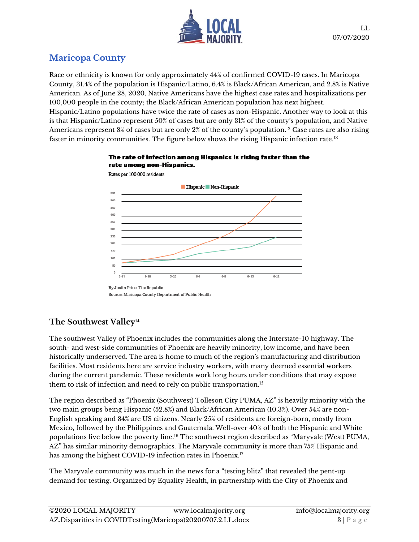

# **Maricopa County**

Race or ethnicity is known for only approximately 44% of confirmed COVID-19 cases. In Maricopa County, 31.4% of the population is Hispanic/Latino, 6.4% is Black/African American, and 2.8% is Native American. As of June 28, 2020, Native Americans have the highest case rates and hospitalizations per 100,000 people in the county; the Black/African American population has next highest. Hispanic/Latino populations have twice the rate of cases as non-Hispanic. Another way to look at this is that Hispanic/Latino represent 50% of cases but are only 31% of the county's population, and Native Americans represent 8% of cases but are only 2% of the county's population.<sup>12</sup> Case rates are also rising faster in minority communities. The figure below shows the rising Hispanic infection rate.<sup>13</sup>





Rates per 100,000 residents

By Justin Price, The Republic Source: Maricopa County Department of Public Health

### **The Southwest Valley**<sup>14</sup>

The southwest Valley of Phoenix includes the communities along the Interstate-10 highway. The south- and west-side communities of Phoenix are heavily minority, low income, and have been historically underserved. The area is home to much of the region's manufacturing and distribution facilities. Most residents here are service industry workers, with many deemed essential workers during the current pandemic. These residents work long hours under conditions that may expose them to risk of infection and need to rely on public transportation.<sup>15</sup>

The region described as "Phoenix (Southwest) Tolleson City PUMA, AZ" is heavily minority with the two main groups being Hispanic (52.8%) and Black/African American (10.3%). Over 54% are non-English speaking and 84% are US citizens. Nearly 25% of residents are foreign-born, mostly from Mexico, followed by the Philippines and Guatemala. Well-over 40% of both the Hispanic and White populations live below the poverty line.<sup>16</sup> The southwest region described as "Maryvale (West) PUMA, AZ" has similar minority demographics. The Maryvale community is more than 75% Hispanic and has among the highest COVID-19 infection rates in Phoenix.<sup>17</sup>

The Maryvale community was much in the news for a "testing blitz" that revealed the pent-up demand for testing. Organized by Equality Health, in partnership with the City of Phoenix and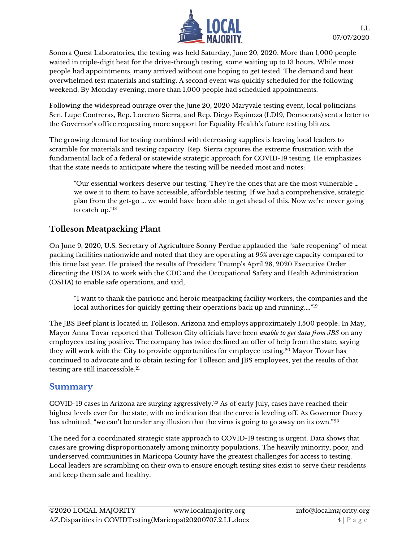

Sonora Quest Laboratories, the testing was held Saturday, June 20, 2020. More than 1,000 people waited in triple-digit heat for the drive-through testing, some waiting up to 13 hours. While most people had appointments, many arrived without one hoping to get tested. The demand and heat overwhelmed test materials and staffing. A second event was quickly scheduled for the following weekend. By Monday evening, more than 1,000 people had scheduled appointments.

Following the widespread outrage over the June 20, 2020 Maryvale testing event, local politicians Sen. Lupe Contreras, Rep. Lorenzo Sierra, and Rep. Diego Espinoza (LD19, Democrats) sent a letter to the Governor's office requesting more support for Equality Health's future testing blitzes.

The growing demand for testing combined with decreasing supplies is leaving local leaders to scramble for materials and testing capacity. Rep. Sierra captures the extreme frustration with the fundamental lack of a federal or statewide strategic approach for COVID-19 testing. He emphasizes that the state needs to anticipate where the testing will be needed most and notes:

"Our essential workers deserve our testing. They're the ones that are the most vulnerable … we owe it to them to have accessible, affordable testing. If we had a comprehensive, strategic plan from the get-go ... we would have been able to get ahead of this. Now we're never going to catch up."<sup>18</sup>

### **Tolleson Meatpacking Plant**

On June 9, 2020, U.S. Secretary of Agriculture Sonny Perdue applauded the "safe reopening" of meat packing facilities nationwide and noted that they are operating at 95% average capacity compared to this time last year. He praised the results of President Trump's April 28, 2020 Executive Order directing the USDA to work with the CDC and the Occupational Safety and Health Administration (OSHA) to enable safe operations, and said,

"I want to thank the patriotic and heroic meatpacking facility workers, the companies and the local authorities for quickly getting their operations back up and running...." 19

The JBS Beef plant is located in Tolleson, Arizona and employs approximately 1,500 people. In May, Mayor Anna Tovar reported that Tolleson City officials have been *unable to get data from JBS* on any employees testing positive. The company has twice declined an offer of help from the state, saying they will work with the City to provide opportunities for employee testing.<sup>20</sup> Mayor Tovar has continued to advocate and to obtain testing for Tolleson and JBS employees, yet the results of that testing are still inaccessible. 21

#### **Summary**

COVID-19 cases in Arizona are surging aggressively.<sup>22</sup> As of early July, cases have reached their highest levels ever for the state, with no indication that the curve is leveling off. As Governor Ducey has admitted, "we can't be under any illusion that the virus is going to go away on its own."<sup>23</sup>

The need for a coordinated strategic state approach to COVID-19 testing is urgent. Data shows that cases are growing disproportionately among minority populations. The heavily minority, poor, and underserved communities in Maricopa County have the greatest challenges for access to testing. Local leaders are scrambling on their own to ensure enough testing sites exist to serve their residents and keep them safe and healthy.